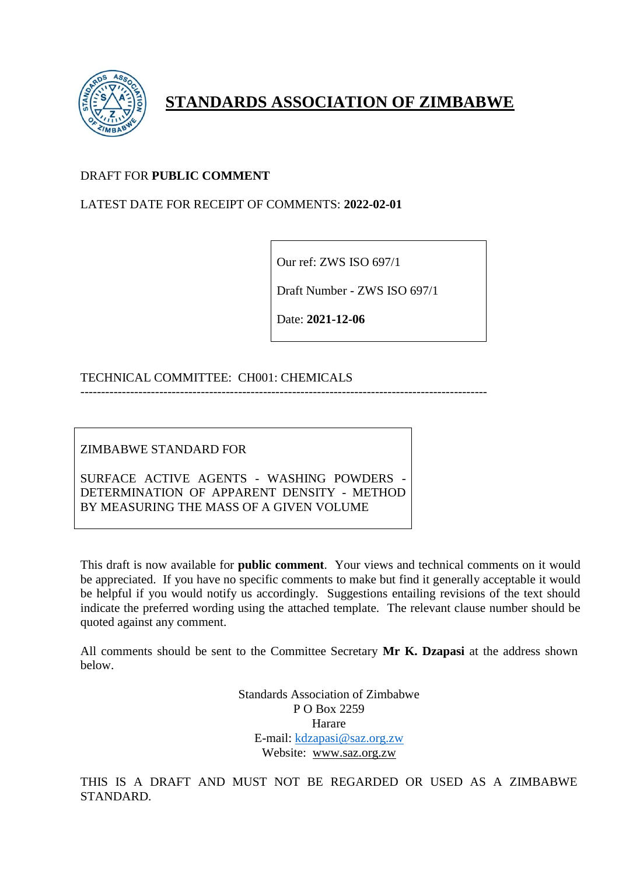

# **STANDARDS ASSOCIATION OF ZIMBABWE**

## DRAFT FOR **PUBLIC COMMENT**

### LATEST DATE FOR RECEIPT OF COMMENTS: **2022-02-01**

Our ref: ZWS ISO 697/1

Draft Number - ZWS ISO 697/1

Date: **2021-12-06**

### TECHNICAL COMMITTEE: CH001: CHEMICALS

--------------------------------------------------------------------------------------------------

ZIMBABWE STANDARD FOR

SURFACE ACTIVE AGENTS - WASHING POWDERS - DETERMINATION OF APPARENT DENSITY - METHOD BY MEASURING THE MASS OF A GIVEN VOLUME

This draft is now available for **public comment**. Your views and technical comments on it would be appreciated. If you have no specific comments to make but find it generally acceptable it would be helpful if you would notify us accordingly. Suggestions entailing revisions of the text should indicate the preferred wording using the attached template. The relevant clause number should be quoted against any comment.

All comments should be sent to the Committee Secretary **Mr K. Dzapasi** at the address shown below.

> Standards Association of Zimbabwe P O Box 2259 Harare E-mail: [kdzapasi@saz.org.zw](mailto:kdzapasi@saz.org.zw) Website: [www.saz.org.zw](http://www.saz.org.zw/)

THIS IS A DRAFT AND MUST NOT BE REGARDED OR USED AS A ZIMBABWE STANDARD.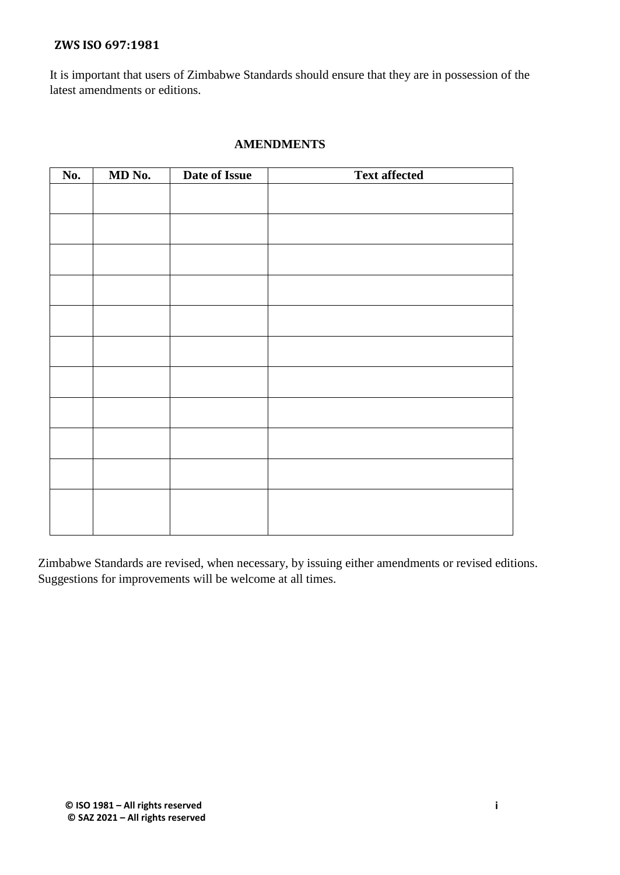It is important that users of Zimbabwe Standards should ensure that they are in possession of the latest amendments or editions.

#### **AMENDMENTS**

| No. | MD No. | Date of Issue | <b>Text affected</b> |
|-----|--------|---------------|----------------------|
|     |        |               |                      |
|     |        |               |                      |
|     |        |               |                      |
|     |        |               |                      |
|     |        |               |                      |
|     |        |               |                      |
|     |        |               |                      |
|     |        |               |                      |
|     |        |               |                      |
|     |        |               |                      |
|     |        |               |                      |
|     |        |               |                      |

Zimbabwe Standards are revised, when necessary, by issuing either amendments or revised editions. Suggestions for improvements will be welcome at all times.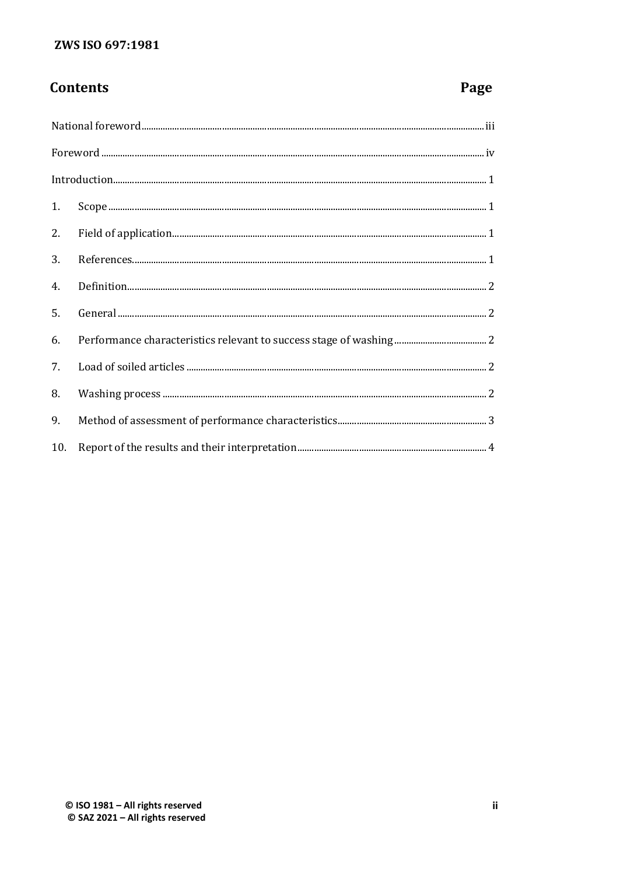# **Contents**

# Page

| $\label{prop:1} \mbox{Introduction}\mbox{3}$ |  |  |  |  |
|----------------------------------------------|--|--|--|--|
|                                              |  |  |  |  |
|                                              |  |  |  |  |
|                                              |  |  |  |  |
|                                              |  |  |  |  |
| 5.                                           |  |  |  |  |
| 6.                                           |  |  |  |  |
| 7.                                           |  |  |  |  |
| 8.                                           |  |  |  |  |
| 9.                                           |  |  |  |  |
|                                              |  |  |  |  |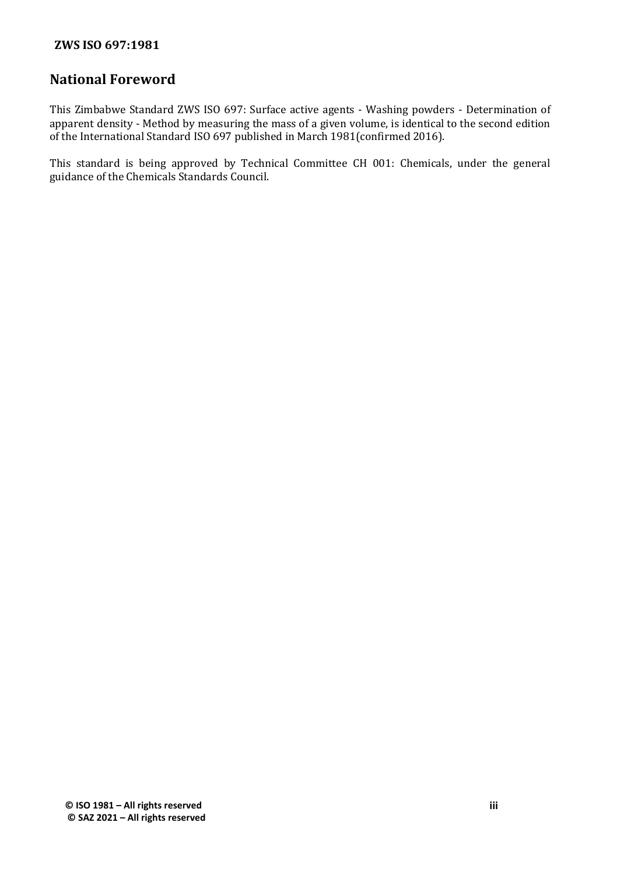# **National Foreword**

This Zimbabwe Standard ZWS ISO 697: Surface active agents - Washing powders - Determination of apparent density - Method by measuring the mass of a given volume, is identical to the second edition of the International Standard ISO 697 published in March 1981(confirmed 2016).

This standard is being approved by Technical Committee CH 001: Chemicals, under the general guidance of the Chemicals Standards Council.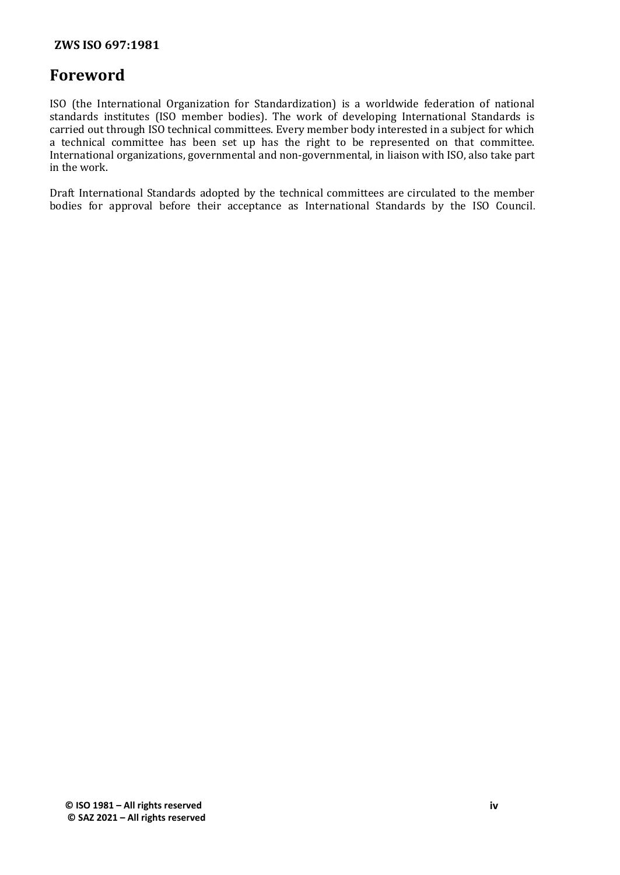# **Foreword**

ISO (the International Organization for Standardization) is a worldwide federation of national standards institutes (ISO member bodies). The work of developing International Standards is carried out through ISO technical committees. Every member body interested in a subject for which a technical committee has been set up has the right to be represented on that committee. International organizations, governmental and non-governmental, in liaison with ISO, also take part in the work.

Draft International Standards adopted by the technical committees are circulated to the member bodies for approval before their acceptance as International Standards by the ISO Council.